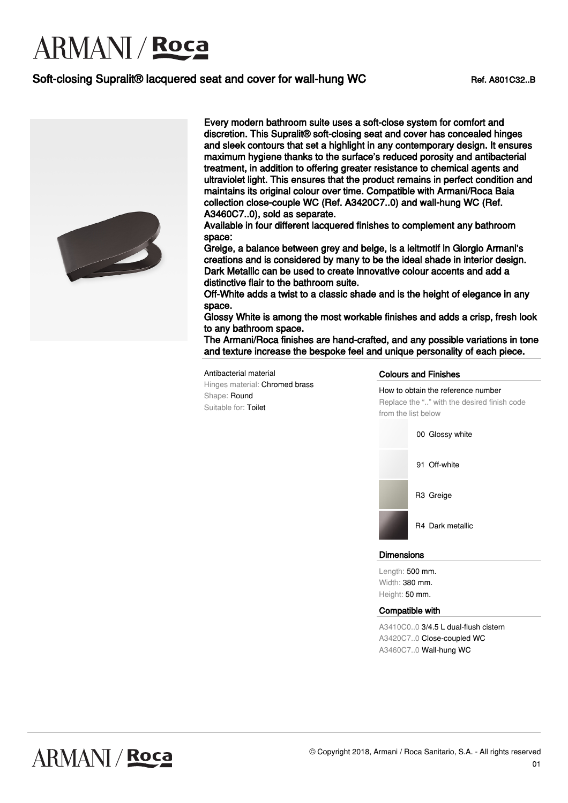# **ARMANI** / Roca

### Soft-closing Supralit® lacquered seat and cover for wall-hung WC Ref. A801C32..B



Every modern bathroom suite uses a soft-close system for comfort and discretion. This Supralit® soft-closing seat and cover has concealed hinges and sleek contours that set a highlight in any contemporary design. It ensures maximum hygiene thanks to the surface's reduced porosity and antibacterial treatment, in addition to offering greater resistance to chemical agents and ultraviolet light. This ensures that the product remains in perfect condition and maintains its original colour over time. Compatible with Armani/Roca Baia collection close-couple WC (Ref. A3420C7..0) and wall-hung WC (Ref. A3460C7..0), sold as separate.

Available in four different lacquered finishes to complement any bathroom space:

Greige, a balance between grey and beige, is a leitmotif in Giorgio Armani's creations and is considered by many to be the ideal shade in interior design. Dark Metallic can be used to create innovative colour accents and add a distinctive flair to the bathroom suite.

Off-White adds a twist to a classic shade and is the height of elegance in any space.

Glossy White is among the most workable finishes and adds a crisp, fresh look to any bathroom space.

The Armani/Roca finishes are hand-crafted, and any possible variations in tone and texture increase the bespoke feel and unique personality of each piece.

Antibacterial material Hinges material: Chromed brass Shape: Round Suitable for: Toilet

### Colours and Finishes

How to obtain the reference number Replace the ".." with the desired finish code from the list below



#### **Dimensions**

Length: 500 mm. Width: 380 mm. Height: 50 mm.

#### Compatible with

A3410C0..0 3/4.5 L dual-flush cistern A3420C7..0 Close-coupled WC A3460C7..0 Wall-hung WC

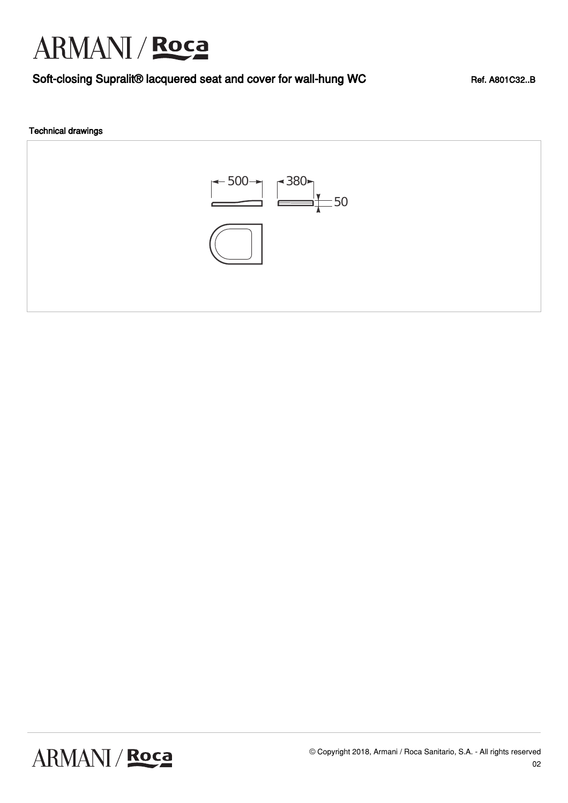## ARMANI / Roca

## Soft-closing Supralit® lacquered seat and cover for wall-hung WC Ref. A801C32..B

### Technical drawings